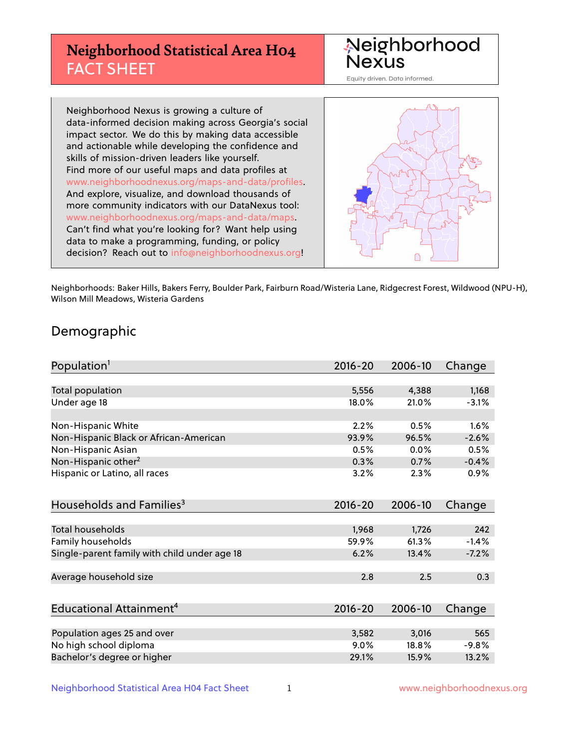# **Neighborhood Statistical Area H04** FACT SHEET



Equity driven. Data informed.

Neighborhood Nexus is growing a culture of data-informed decision making across Georgia's social impact sector. We do this by making data accessible and actionable while developing the confidence and skills of mission-driven leaders like yourself. Find more of our useful maps and data profiles at www.neighborhoodnexus.org/maps-and-data/profiles. And explore, visualize, and download thousands of more community indicators with our DataNexus tool: www.neighborhoodnexus.org/maps-and-data/maps. Can't find what you're looking for? Want help using data to make a programming, funding, or policy decision? Reach out to [info@neighborhoodnexus.org!](mailto:info@neighborhoodnexus.org)



Neighborhoods: Baker Hills, Bakers Ferry, Boulder Park, Fairburn Road/Wisteria Lane, Ridgecrest Forest, Wildwood (NPU-H), Wilson Mill Meadows, Wisteria Gardens

### Demographic

| Population <sup>1</sup>                      | $2016 - 20$ | 2006-10 | Change  |
|----------------------------------------------|-------------|---------|---------|
|                                              |             |         |         |
| Total population                             | 5,556       | 4,388   | 1,168   |
| Under age 18                                 | 18.0%       | 21.0%   | $-3.1%$ |
|                                              |             |         |         |
| Non-Hispanic White                           | 2.2%        | 0.5%    | 1.6%    |
| Non-Hispanic Black or African-American       | 93.9%       | 96.5%   | $-2.6%$ |
| Non-Hispanic Asian                           | 0.5%        | 0.0%    | 0.5%    |
| Non-Hispanic other <sup>2</sup>              | 0.3%        | 0.7%    | $-0.4%$ |
| Hispanic or Latino, all races                | 3.2%        | 2.3%    | 0.9%    |
| Households and Families <sup>3</sup>         | $2016 - 20$ | 2006-10 | Change  |
|                                              |             |         |         |
| <b>Total households</b>                      | 1,968       | 1,726   | 242     |
| Family households                            | 59.9%       | 61.3%   | $-1.4%$ |
| Single-parent family with child under age 18 | 6.2%        | 13.4%   | $-7.2%$ |
| Average household size                       | 2.8         | 2.5     | 0.3     |
|                                              |             |         |         |
| Educational Attainment <sup>4</sup>          | $2016 - 20$ | 2006-10 | Change  |
|                                              |             |         |         |
| Population ages 25 and over                  | 3,582       | 3,016   | 565     |
| No high school diploma                       | 9.0%        | 18.8%   | $-9.8%$ |
| Bachelor's degree or higher                  | 29.1%       | 15.9%   | 13.2%   |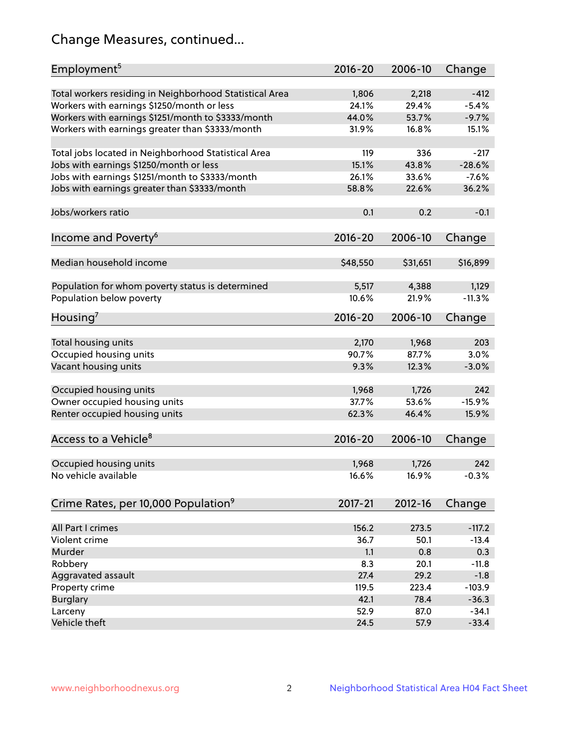# Change Measures, continued...

| Employment <sup>5</sup>                                 | 2016-20     | 2006-10  | Change   |
|---------------------------------------------------------|-------------|----------|----------|
| Total workers residing in Neighborhood Statistical Area | 1,806       | 2,218    | $-412$   |
| Workers with earnings \$1250/month or less              | 24.1%       | 29.4%    | $-5.4%$  |
| Workers with earnings \$1251/month to \$3333/month      | 44.0%       | 53.7%    | $-9.7%$  |
| Workers with earnings greater than \$3333/month         | 31.9%       | 16.8%    | 15.1%    |
|                                                         |             |          |          |
| Total jobs located in Neighborhood Statistical Area     | 119         | 336      | $-217$   |
| Jobs with earnings \$1250/month or less                 | 15.1%       | 43.8%    | $-28.6%$ |
| Jobs with earnings \$1251/month to \$3333/month         | 26.1%       | 33.6%    | $-7.6%$  |
| Jobs with earnings greater than \$3333/month            | 58.8%       | 22.6%    | 36.2%    |
|                                                         |             |          |          |
| Jobs/workers ratio                                      | 0.1         | 0.2      | $-0.1$   |
|                                                         |             |          |          |
| Income and Poverty <sup>6</sup>                         | 2016-20     | 2006-10  | Change   |
|                                                         |             |          |          |
| Median household income                                 | \$48,550    | \$31,651 | \$16,899 |
|                                                         |             |          |          |
| Population for whom poverty status is determined        | 5,517       | 4,388    | 1,129    |
| Population below poverty                                | 10.6%       | 21.9%    | $-11.3%$ |
|                                                         |             |          |          |
| Housing <sup>7</sup>                                    | 2016-20     | 2006-10  | Change   |
|                                                         |             |          |          |
| Total housing units                                     | 2,170       | 1,968    | 203      |
| Occupied housing units                                  | 90.7%       | 87.7%    | 3.0%     |
| Vacant housing units                                    | 9.3%        | 12.3%    | $-3.0%$  |
|                                                         |             |          |          |
| Occupied housing units                                  | 1,968       | 1,726    | 242      |
| Owner occupied housing units                            | 37.7%       | 53.6%    | $-15.9%$ |
| Renter occupied housing units                           | 62.3%       | 46.4%    | 15.9%    |
|                                                         |             |          |          |
| Access to a Vehicle <sup>8</sup>                        | $2016 - 20$ | 2006-10  | Change   |
|                                                         |             |          |          |
| Occupied housing units                                  | 1,968       | 1,726    | 242      |
| No vehicle available                                    | 16.6%       | 16.9%    | $-0.3%$  |
|                                                         |             |          |          |
| Crime Rates, per 10,000 Population <sup>9</sup>         | 2017-21     | 2012-16  | Change   |
|                                                         |             |          |          |
| All Part I crimes                                       | 156.2       | 273.5    | $-117.2$ |
| Violent crime                                           | 36.7        | 50.1     | $-13.4$  |
| Murder                                                  | 1.1         | 0.8      | 0.3      |
| Robbery                                                 | 8.3         | 20.1     | $-11.8$  |
| Aggravated assault                                      | 27.4        | 29.2     | $-1.8$   |
| Property crime                                          | 119.5       | 223.4    | $-103.9$ |
| <b>Burglary</b>                                         | 42.1        | 78.4     | $-36.3$  |
| Larceny                                                 | 52.9        | 87.0     | $-34.1$  |
| Vehicle theft                                           | 24.5        | 57.9     | $-33.4$  |
|                                                         |             |          |          |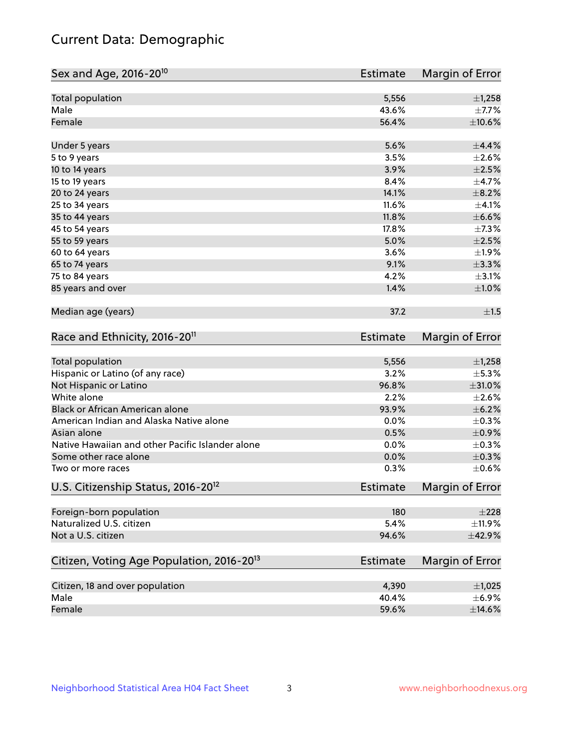# Current Data: Demographic

| Total population<br>5,556<br>$\pm$ 1,258<br>Male<br>43.6%<br>Female<br>56.4%<br>5.6%<br>$\pm$ 4.4%<br>Under 5 years<br>3.5%<br>$\pm 2.6\%$<br>5 to 9 years<br>3.9%<br>$\pm 2.5\%$<br>10 to 14 years<br>8.4%<br>15 to 19 years<br>$\pm$ 8.2%<br>14.1%<br>20 to 24 years<br>11.6%<br>25 to 34 years<br>$\pm$ 6.6%<br>35 to 44 years<br>11.8%<br>17.8%<br>45 to 54 years<br>$\pm 2.5\%$<br>55 to 59 years<br>5.0%<br>3.6%<br>60 to 64 years<br>$\pm$ 3.3%<br>65 to 74 years<br>9.1%<br>75 to 84 years<br>4.2%<br>$\pm$ 3.1%<br>85 years and over<br>1.4%<br>$\pm 1.0\%$<br>Median age (years)<br>37.2<br>±1.5<br>Race and Ethnicity, 2016-20 <sup>11</sup><br><b>Estimate</b><br>Total population<br>5,556<br>$\pm$ 1,258<br>Hispanic or Latino (of any race)<br>3.2%<br>$\pm$ 5.3%<br>96.8%<br>$\pm 31.0\%$<br>Not Hispanic or Latino<br>White alone<br>2.2%<br>$\pm 2.6\%$<br>Black or African American alone<br>93.9%<br>$\pm$ 6.2%<br>American Indian and Alaska Native alone<br>0.0%<br>$\pm$ 0.3%<br>$\pm$ 0.9%<br>Asian alone<br>0.5%<br>Native Hawaiian and other Pacific Islander alone<br>0.0%<br>$\pm$ 0.3%<br>$\pm$ 0.3%<br>Some other race alone<br>0.0%<br>0.3%<br>$\pm$ 0.6%<br>Two or more races<br>U.S. Citizenship Status, 2016-20 <sup>12</sup><br><b>Estimate</b><br>Foreign-born population<br>180<br>Naturalized U.S. citizen<br>5.4%<br>Not a U.S. citizen<br>94.6%<br>±42.9%<br>Citizen, Voting Age Population, 2016-20 <sup>13</sup><br><b>Estimate</b><br>Margin of Error<br>Citizen, 18 and over population<br>4,390<br>$\pm$ 1,025<br>Male<br>40.4%<br>$\pm$ 6.9%<br>59.6%<br>Female<br>$\pm$ 14.6% | Sex and Age, 2016-20 <sup>10</sup> | <b>Estimate</b> | Margin of Error        |
|------------------------------------------------------------------------------------------------------------------------------------------------------------------------------------------------------------------------------------------------------------------------------------------------------------------------------------------------------------------------------------------------------------------------------------------------------------------------------------------------------------------------------------------------------------------------------------------------------------------------------------------------------------------------------------------------------------------------------------------------------------------------------------------------------------------------------------------------------------------------------------------------------------------------------------------------------------------------------------------------------------------------------------------------------------------------------------------------------------------------------------------------------------------------------------------------------------------------------------------------------------------------------------------------------------------------------------------------------------------------------------------------------------------------------------------------------------------------------------------------------------------------------------------------------------------------------------------------------------------------------|------------------------------------|-----------------|------------------------|
|                                                                                                                                                                                                                                                                                                                                                                                                                                                                                                                                                                                                                                                                                                                                                                                                                                                                                                                                                                                                                                                                                                                                                                                                                                                                                                                                                                                                                                                                                                                                                                                                                              |                                    |                 |                        |
|                                                                                                                                                                                                                                                                                                                                                                                                                                                                                                                                                                                                                                                                                                                                                                                                                                                                                                                                                                                                                                                                                                                                                                                                                                                                                                                                                                                                                                                                                                                                                                                                                              |                                    |                 | $\pm$ 7.7%             |
|                                                                                                                                                                                                                                                                                                                                                                                                                                                                                                                                                                                                                                                                                                                                                                                                                                                                                                                                                                                                                                                                                                                                                                                                                                                                                                                                                                                                                                                                                                                                                                                                                              |                                    |                 | $\pm 10.6\%$           |
|                                                                                                                                                                                                                                                                                                                                                                                                                                                                                                                                                                                                                                                                                                                                                                                                                                                                                                                                                                                                                                                                                                                                                                                                                                                                                                                                                                                                                                                                                                                                                                                                                              |                                    |                 |                        |
|                                                                                                                                                                                                                                                                                                                                                                                                                                                                                                                                                                                                                                                                                                                                                                                                                                                                                                                                                                                                                                                                                                                                                                                                                                                                                                                                                                                                                                                                                                                                                                                                                              |                                    |                 |                        |
|                                                                                                                                                                                                                                                                                                                                                                                                                                                                                                                                                                                                                                                                                                                                                                                                                                                                                                                                                                                                                                                                                                                                                                                                                                                                                                                                                                                                                                                                                                                                                                                                                              |                                    |                 |                        |
|                                                                                                                                                                                                                                                                                                                                                                                                                                                                                                                                                                                                                                                                                                                                                                                                                                                                                                                                                                                                                                                                                                                                                                                                                                                                                                                                                                                                                                                                                                                                                                                                                              |                                    |                 | $\pm$ 4.7%             |
|                                                                                                                                                                                                                                                                                                                                                                                                                                                                                                                                                                                                                                                                                                                                                                                                                                                                                                                                                                                                                                                                                                                                                                                                                                                                                                                                                                                                                                                                                                                                                                                                                              |                                    |                 |                        |
|                                                                                                                                                                                                                                                                                                                                                                                                                                                                                                                                                                                                                                                                                                                                                                                                                                                                                                                                                                                                                                                                                                                                                                                                                                                                                                                                                                                                                                                                                                                                                                                                                              |                                    |                 | $\pm 4.1\%$            |
|                                                                                                                                                                                                                                                                                                                                                                                                                                                                                                                                                                                                                                                                                                                                                                                                                                                                                                                                                                                                                                                                                                                                                                                                                                                                                                                                                                                                                                                                                                                                                                                                                              |                                    |                 |                        |
|                                                                                                                                                                                                                                                                                                                                                                                                                                                                                                                                                                                                                                                                                                                                                                                                                                                                                                                                                                                                                                                                                                                                                                                                                                                                                                                                                                                                                                                                                                                                                                                                                              |                                    |                 | $\pm$ 7.3%             |
|                                                                                                                                                                                                                                                                                                                                                                                                                                                                                                                                                                                                                                                                                                                                                                                                                                                                                                                                                                                                                                                                                                                                                                                                                                                                                                                                                                                                                                                                                                                                                                                                                              |                                    |                 |                        |
|                                                                                                                                                                                                                                                                                                                                                                                                                                                                                                                                                                                                                                                                                                                                                                                                                                                                                                                                                                                                                                                                                                                                                                                                                                                                                                                                                                                                                                                                                                                                                                                                                              |                                    |                 | ±1.9%                  |
|                                                                                                                                                                                                                                                                                                                                                                                                                                                                                                                                                                                                                                                                                                                                                                                                                                                                                                                                                                                                                                                                                                                                                                                                                                                                                                                                                                                                                                                                                                                                                                                                                              |                                    |                 |                        |
|                                                                                                                                                                                                                                                                                                                                                                                                                                                                                                                                                                                                                                                                                                                                                                                                                                                                                                                                                                                                                                                                                                                                                                                                                                                                                                                                                                                                                                                                                                                                                                                                                              |                                    |                 |                        |
|                                                                                                                                                                                                                                                                                                                                                                                                                                                                                                                                                                                                                                                                                                                                                                                                                                                                                                                                                                                                                                                                                                                                                                                                                                                                                                                                                                                                                                                                                                                                                                                                                              |                                    |                 |                        |
|                                                                                                                                                                                                                                                                                                                                                                                                                                                                                                                                                                                                                                                                                                                                                                                                                                                                                                                                                                                                                                                                                                                                                                                                                                                                                                                                                                                                                                                                                                                                                                                                                              |                                    |                 |                        |
|                                                                                                                                                                                                                                                                                                                                                                                                                                                                                                                                                                                                                                                                                                                                                                                                                                                                                                                                                                                                                                                                                                                                                                                                                                                                                                                                                                                                                                                                                                                                                                                                                              |                                    |                 | Margin of Error        |
|                                                                                                                                                                                                                                                                                                                                                                                                                                                                                                                                                                                                                                                                                                                                                                                                                                                                                                                                                                                                                                                                                                                                                                                                                                                                                                                                                                                                                                                                                                                                                                                                                              |                                    |                 |                        |
|                                                                                                                                                                                                                                                                                                                                                                                                                                                                                                                                                                                                                                                                                                                                                                                                                                                                                                                                                                                                                                                                                                                                                                                                                                                                                                                                                                                                                                                                                                                                                                                                                              |                                    |                 |                        |
|                                                                                                                                                                                                                                                                                                                                                                                                                                                                                                                                                                                                                                                                                                                                                                                                                                                                                                                                                                                                                                                                                                                                                                                                                                                                                                                                                                                                                                                                                                                                                                                                                              |                                    |                 |                        |
|                                                                                                                                                                                                                                                                                                                                                                                                                                                                                                                                                                                                                                                                                                                                                                                                                                                                                                                                                                                                                                                                                                                                                                                                                                                                                                                                                                                                                                                                                                                                                                                                                              |                                    |                 |                        |
|                                                                                                                                                                                                                                                                                                                                                                                                                                                                                                                                                                                                                                                                                                                                                                                                                                                                                                                                                                                                                                                                                                                                                                                                                                                                                                                                                                                                                                                                                                                                                                                                                              |                                    |                 |                        |
|                                                                                                                                                                                                                                                                                                                                                                                                                                                                                                                                                                                                                                                                                                                                                                                                                                                                                                                                                                                                                                                                                                                                                                                                                                                                                                                                                                                                                                                                                                                                                                                                                              |                                    |                 |                        |
|                                                                                                                                                                                                                                                                                                                                                                                                                                                                                                                                                                                                                                                                                                                                                                                                                                                                                                                                                                                                                                                                                                                                                                                                                                                                                                                                                                                                                                                                                                                                                                                                                              |                                    |                 |                        |
|                                                                                                                                                                                                                                                                                                                                                                                                                                                                                                                                                                                                                                                                                                                                                                                                                                                                                                                                                                                                                                                                                                                                                                                                                                                                                                                                                                                                                                                                                                                                                                                                                              |                                    |                 |                        |
|                                                                                                                                                                                                                                                                                                                                                                                                                                                                                                                                                                                                                                                                                                                                                                                                                                                                                                                                                                                                                                                                                                                                                                                                                                                                                                                                                                                                                                                                                                                                                                                                                              |                                    |                 |                        |
|                                                                                                                                                                                                                                                                                                                                                                                                                                                                                                                                                                                                                                                                                                                                                                                                                                                                                                                                                                                                                                                                                                                                                                                                                                                                                                                                                                                                                                                                                                                                                                                                                              |                                    |                 |                        |
|                                                                                                                                                                                                                                                                                                                                                                                                                                                                                                                                                                                                                                                                                                                                                                                                                                                                                                                                                                                                                                                                                                                                                                                                                                                                                                                                                                                                                                                                                                                                                                                                                              |                                    |                 | <b>Margin of Error</b> |
|                                                                                                                                                                                                                                                                                                                                                                                                                                                                                                                                                                                                                                                                                                                                                                                                                                                                                                                                                                                                                                                                                                                                                                                                                                                                                                                                                                                                                                                                                                                                                                                                                              |                                    |                 | $\pm 228$              |
|                                                                                                                                                                                                                                                                                                                                                                                                                                                                                                                                                                                                                                                                                                                                                                                                                                                                                                                                                                                                                                                                                                                                                                                                                                                                                                                                                                                                                                                                                                                                                                                                                              |                                    |                 | ±11.9%                 |
|                                                                                                                                                                                                                                                                                                                                                                                                                                                                                                                                                                                                                                                                                                                                                                                                                                                                                                                                                                                                                                                                                                                                                                                                                                                                                                                                                                                                                                                                                                                                                                                                                              |                                    |                 |                        |
|                                                                                                                                                                                                                                                                                                                                                                                                                                                                                                                                                                                                                                                                                                                                                                                                                                                                                                                                                                                                                                                                                                                                                                                                                                                                                                                                                                                                                                                                                                                                                                                                                              |                                    |                 |                        |
|                                                                                                                                                                                                                                                                                                                                                                                                                                                                                                                                                                                                                                                                                                                                                                                                                                                                                                                                                                                                                                                                                                                                                                                                                                                                                                                                                                                                                                                                                                                                                                                                                              |                                    |                 |                        |
|                                                                                                                                                                                                                                                                                                                                                                                                                                                                                                                                                                                                                                                                                                                                                                                                                                                                                                                                                                                                                                                                                                                                                                                                                                                                                                                                                                                                                                                                                                                                                                                                                              |                                    |                 |                        |
|                                                                                                                                                                                                                                                                                                                                                                                                                                                                                                                                                                                                                                                                                                                                                                                                                                                                                                                                                                                                                                                                                                                                                                                                                                                                                                                                                                                                                                                                                                                                                                                                                              |                                    |                 |                        |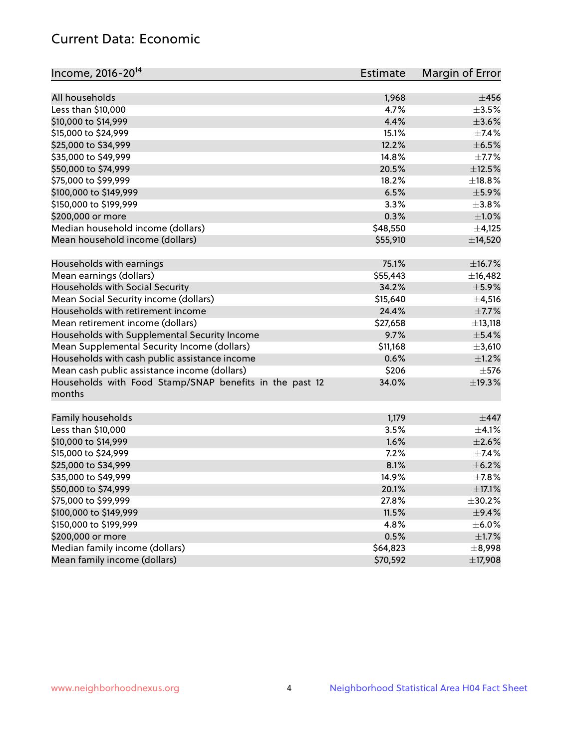# Current Data: Economic

| Income, 2016-20 <sup>14</sup>                                     | <b>Estimate</b> | Margin of Error |
|-------------------------------------------------------------------|-----------------|-----------------|
| All households                                                    | 1,968           | $\pm 456$       |
| Less than \$10,000                                                | 4.7%            | $\pm 3.5\%$     |
| \$10,000 to \$14,999                                              | 4.4%            | $\pm$ 3.6%      |
| \$15,000 to \$24,999                                              | 15.1%           | $\pm$ 7.4%      |
| \$25,000 to \$34,999                                              | 12.2%           | $\pm$ 6.5%      |
|                                                                   | 14.8%           |                 |
| \$35,000 to \$49,999                                              | 20.5%           | $\pm$ 7.7%      |
| \$50,000 to \$74,999                                              |                 | $\pm$ 12.5%     |
| \$75,000 to \$99,999                                              | 18.2%           | ±18.8%          |
| \$100,000 to \$149,999                                            | 6.5%            | $\pm$ 5.9%      |
| \$150,000 to \$199,999                                            | 3.3%            | $\pm$ 3.8%      |
| \$200,000 or more                                                 | 0.3%            | $\pm 1.0\%$     |
| Median household income (dollars)                                 | \$48,550        | $\pm$ 4,125     |
| Mean household income (dollars)                                   | \$55,910        | ±14,520         |
| Households with earnings                                          | 75.1%           | ±16.7%          |
| Mean earnings (dollars)                                           | \$55,443        | ±16,482         |
| Households with Social Security                                   | 34.2%           | $\pm$ 5.9%      |
| Mean Social Security income (dollars)                             | \$15,640        | $\pm$ 4,516     |
| Households with retirement income                                 | 24.4%           | $\pm$ 7.7%      |
| Mean retirement income (dollars)                                  | \$27,658        | $\pm$ 13,118    |
| Households with Supplemental Security Income                      | 9.7%            | $\pm$ 5.4%      |
| Mean Supplemental Security Income (dollars)                       | \$11,168        | ±3,610          |
| Households with cash public assistance income                     | 0.6%            | $\pm$ 1.2%      |
| Mean cash public assistance income (dollars)                      | \$206           | $\pm$ 576       |
| Households with Food Stamp/SNAP benefits in the past 12<br>months | 34.0%           | ±19.3%          |
| Family households                                                 | 1,179           | $\pm$ 447       |
| Less than \$10,000                                                | 3.5%            | $\pm$ 4.1%      |
| \$10,000 to \$14,999                                              | 1.6%            | $\pm 2.6\%$     |
| \$15,000 to \$24,999                                              | 7.2%            | $\pm$ 7.4%      |
| \$25,000 to \$34,999                                              | 8.1%            | $\pm$ 6.2%      |
| \$35,000 to \$49,999                                              | 14.9%           | $\pm$ 7.8%      |
| \$50,000 to \$74,999                                              | 20.1%           | $\pm$ 17.1%     |
| \$75,000 to \$99,999                                              | 27.8%           | ±30.2%          |
| \$100,000 to \$149,999                                            | 11.5%           | $\pm$ 9.4%      |
| \$150,000 to \$199,999                                            | 4.8%            | $\pm$ 6.0%      |
| \$200,000 or more                                                 | 0.5%            | $\pm1.7\%$      |
| Median family income (dollars)                                    | \$64,823        | $\pm$ 8,998     |
| Mean family income (dollars)                                      | \$70,592        | ±17,908         |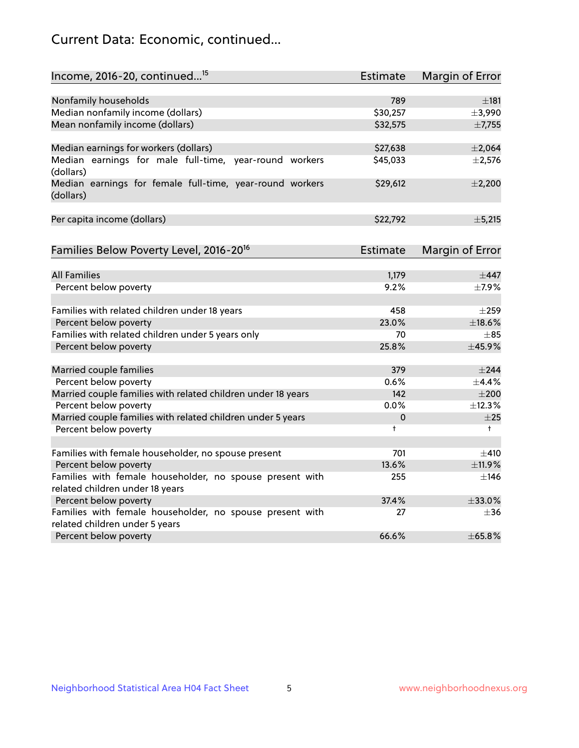# Current Data: Economic, continued...

| Income, 2016-20, continued <sup>15</sup>                                          | <b>Estimate</b> | Margin of Error        |
|-----------------------------------------------------------------------------------|-----------------|------------------------|
|                                                                                   |                 |                        |
| Nonfamily households<br>Median nonfamily income (dollars)                         | 789<br>\$30,257 | $\pm$ 181              |
| Mean nonfamily income (dollars)                                                   | \$32,575        | ±3,990                 |
|                                                                                   |                 | ±7,755                 |
| Median earnings for workers (dollars)                                             | \$27,638        | ±2,064                 |
| Median earnings for male full-time, year-round workers<br>(dollars)               | \$45,033        | $\pm 2,576$            |
| Median earnings for female full-time, year-round workers<br>(dollars)             | \$29,612        | ±2,200                 |
| Per capita income (dollars)                                                       | \$22,792        | ±5,215                 |
| Families Below Poverty Level, 2016-20 <sup>16</sup>                               | <b>Estimate</b> | <b>Margin of Error</b> |
|                                                                                   |                 |                        |
| <b>All Families</b>                                                               | 1,179           | $\pm$ 447              |
| Percent below poverty                                                             | 9.2%            | ±7.9%                  |
| Families with related children under 18 years                                     | 458             | $\pm 259$              |
| Percent below poverty                                                             | 23.0%           | ±18.6%                 |
| Families with related children under 5 years only                                 | 70              | $+85$                  |
| Percent below poverty                                                             | 25.8%           | ±45.9%                 |
| Married couple families                                                           | 379             | $\pm$ 244              |
| Percent below poverty                                                             | 0.6%            | ±4.4%                  |
| Married couple families with related children under 18 years                      | 142             | $\pm 200$              |
| Percent below poverty                                                             | 0.0%            | ±12.3%                 |
| Married couple families with related children under 5 years                       | 0               | $\pm 25$               |
| Percent below poverty                                                             | $\ddagger$      | $\ddagger$             |
|                                                                                   |                 |                        |
| Families with female householder, no spouse present                               | 701             | $\pm$ 410              |
| Percent below poverty                                                             | 13.6%           | ±11.9%                 |
| Families with female householder, no spouse present with                          | 255             | $\pm$ 146              |
| related children under 18 years                                                   | 37.4%           | ±33.0%                 |
| Percent below poverty<br>Families with female householder, no spouse present with | 27              | $\pm$ 36               |
| related children under 5 years                                                    |                 |                        |
| Percent below poverty                                                             | 66.6%           | ±65.8%                 |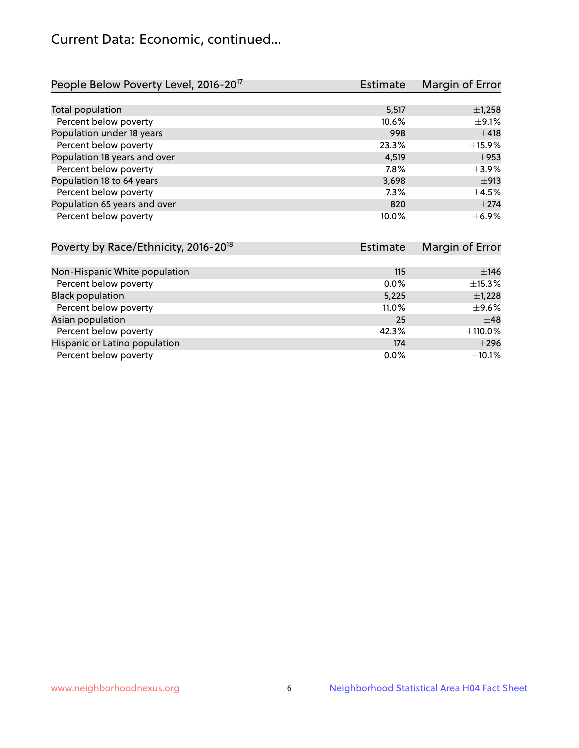# Current Data: Economic, continued...

| People Below Poverty Level, 2016-20 <sup>17</sup> | <b>Estimate</b> | Margin of Error |
|---------------------------------------------------|-----------------|-----------------|
|                                                   |                 |                 |
| Total population                                  | 5,517           | $\pm$ 1,258     |
| Percent below poverty                             | 10.6%           | $\pm$ 9.1%      |
| Population under 18 years                         | 998             | ±418            |
| Percent below poverty                             | 23.3%           | ±15.9%          |
| Population 18 years and over                      | 4,519           | $\pm$ 953       |
| Percent below poverty                             | 7.8%            | $\pm$ 3.9%      |
| Population 18 to 64 years                         | 3,698           | ±913            |
| Percent below poverty                             | 7.3%            | $\pm$ 4.5%      |
| Population 65 years and over                      | 820             | $\pm 274$       |
| Percent below poverty                             | 10.0%           | $\pm$ 6.9%      |

| Poverty by Race/Ethnicity, 2016-20 <sup>18</sup> | <b>Estimate</b> | Margin of Error |
|--------------------------------------------------|-----------------|-----------------|
|                                                  |                 |                 |
| Non-Hispanic White population                    | 115             | $\pm$ 146       |
| Percent below poverty                            | $0.0\%$         | $\pm$ 15.3%     |
| <b>Black population</b>                          | 5,225           | $\pm$ 1,228     |
| Percent below poverty                            | 11.0%           | $\pm$ 9.6%      |
| Asian population                                 | 25              | $\pm$ 48        |
| Percent below poverty                            | 42.3%           | ±110.0%         |
| Hispanic or Latino population                    | 174             | $\pm 296$       |
| Percent below poverty                            | $0.0\%$         | $\pm$ 10.1%     |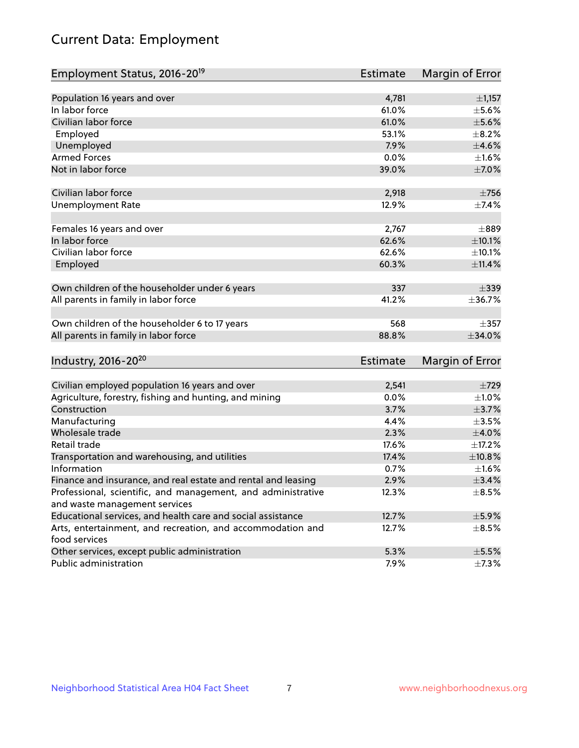# Current Data: Employment

| Employment Status, 2016-20 <sup>19</sup>                      | <b>Estimate</b> | Margin of Error |
|---------------------------------------------------------------|-----------------|-----------------|
|                                                               |                 |                 |
| Population 16 years and over                                  | 4,781           | $\pm$ 1,157     |
| In labor force                                                | 61.0%           | $\pm$ 5.6%      |
| Civilian labor force                                          | 61.0%           | $\pm$ 5.6%      |
| Employed                                                      | 53.1%           | $\pm$ 8.2%      |
| Unemployed                                                    | 7.9%            | $\pm$ 4.6%      |
| <b>Armed Forces</b>                                           | 0.0%            | $\pm1.6\%$      |
| Not in labor force                                            | 39.0%           | $\pm$ 7.0%      |
|                                                               |                 |                 |
| Civilian labor force                                          | 2,918           | $\pm 756$       |
| <b>Unemployment Rate</b>                                      | 12.9%           | $\pm$ 7.4%      |
| Females 16 years and over                                     | 2,767           | $\pm$ 889       |
| In labor force                                                | 62.6%           | $\pm 10.1\%$    |
| Civilian labor force                                          | 62.6%           | ±10.1%          |
| Employed                                                      | 60.3%           | ±11.4%          |
|                                                               |                 |                 |
| Own children of the householder under 6 years                 | 337             | $\pm$ 339       |
| All parents in family in labor force                          | 41.2%           | ±36.7%          |
|                                                               |                 |                 |
| Own children of the householder 6 to 17 years                 | 568             | $\pm$ 357       |
| All parents in family in labor force                          | 88.8%           | ±34.0%          |
|                                                               |                 |                 |
| Industry, 2016-20 <sup>20</sup>                               | Estimate        | Margin of Error |
|                                                               |                 |                 |
| Civilian employed population 16 years and over                | 2,541           | $\pm 729$       |
| Agriculture, forestry, fishing and hunting, and mining        | 0.0%            | $\pm 1.0\%$     |
| Construction                                                  | 3.7%            | $\pm$ 3.7%      |
| Manufacturing                                                 | 4.4%            | $\pm 3.5\%$     |
| Wholesale trade                                               | 2.3%            | $\pm 4.0\%$     |
| Retail trade                                                  | 17.6%           | $\pm$ 17.2%     |
| Transportation and warehousing, and utilities                 | 17.4%           | $\pm$ 10.8%     |
| Information                                                   | 0.7%            | $\pm 1.6\%$     |
| Finance and insurance, and real estate and rental and leasing | 2.9%            | $\pm$ 3.4%      |
| Professional, scientific, and management, and administrative  | 12.3%           | $\pm$ 8.5%      |
| and waste management services                                 |                 |                 |
| Educational services, and health care and social assistance   | 12.7%           | $\pm$ 5.9%      |
| Arts, entertainment, and recreation, and accommodation and    | 12.7%           | $\pm$ 8.5%      |
| food services                                                 |                 |                 |
| Other services, except public administration                  | 5.3%            | $\pm$ 5.5%      |
| Public administration                                         | 7.9%            | $\pm$ 7.3%      |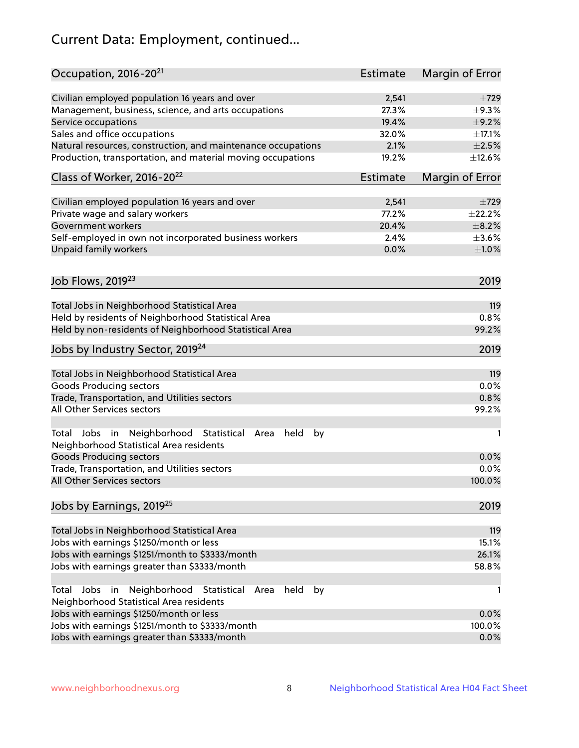# Current Data: Employment, continued...

| Civilian employed population 16 years and over<br>2,541<br>$\pm 729$<br>27.3%<br>Management, business, science, and arts occupations<br>$\pm$ 9.3%<br>19.4%<br>$\pm$ 9.2%<br>Service occupations<br>Sales and office occupations<br>32.0%<br>$\pm$ 17.1%<br>2.1%<br>$\pm 2.5\%$<br>Natural resources, construction, and maintenance occupations<br>Production, transportation, and material moving occupations<br>19.2%<br>±12.6%<br>Class of Worker, 2016-20 <sup>22</sup><br><b>Estimate</b><br>Margin of Error<br>Civilian employed population 16 years and over<br>2,541<br>$\pm 729$<br>Private wage and salary workers<br>77.2%<br>±22.2%<br>Government workers<br>20.4%<br>$\pm$ 8.2%<br>Self-employed in own not incorporated business workers<br>2.4%<br>$\pm 3.6\%$<br>Unpaid family workers<br>0.0%<br>$\pm 1.0\%$<br>Job Flows, 2019 <sup>23</sup><br>2019<br>Total Jobs in Neighborhood Statistical Area<br>119<br>Held by residents of Neighborhood Statistical Area<br>0.8%<br>Held by non-residents of Neighborhood Statistical Area<br>99.2%<br>Jobs by Industry Sector, 2019 <sup>24</sup><br>2019<br>Total Jobs in Neighborhood Statistical Area<br>119<br><b>Goods Producing sectors</b><br>0.0%<br>Trade, Transportation, and Utilities sectors<br>0.8%<br>All Other Services sectors<br>99.2%<br>Total Jobs in Neighborhood Statistical<br>held<br>by<br>Area<br>1<br>Neighborhood Statistical Area residents<br><b>Goods Producing sectors</b><br>0.0%<br>0.0%<br>Trade, Transportation, and Utilities sectors<br>All Other Services sectors<br>100.0%<br>Jobs by Earnings, 2019 <sup>25</sup><br>2019<br>Total Jobs in Neighborhood Statistical Area<br>119<br>Jobs with earnings \$1250/month or less<br>15.1%<br>Jobs with earnings \$1251/month to \$3333/month<br>26.1%<br>58.8%<br>Jobs with earnings greater than \$3333/month<br>Neighborhood Statistical<br>Jobs<br>in<br>held<br>by<br>Total<br>Area<br>1<br>Neighborhood Statistical Area residents<br>Jobs with earnings \$1250/month or less<br>0.0%<br>Jobs with earnings \$1251/month to \$3333/month<br>100.0%<br>Jobs with earnings greater than \$3333/month<br>0.0% | Occupation, 2016-20 <sup>21</sup> | <b>Estimate</b> | Margin of Error |
|---------------------------------------------------------------------------------------------------------------------------------------------------------------------------------------------------------------------------------------------------------------------------------------------------------------------------------------------------------------------------------------------------------------------------------------------------------------------------------------------------------------------------------------------------------------------------------------------------------------------------------------------------------------------------------------------------------------------------------------------------------------------------------------------------------------------------------------------------------------------------------------------------------------------------------------------------------------------------------------------------------------------------------------------------------------------------------------------------------------------------------------------------------------------------------------------------------------------------------------------------------------------------------------------------------------------------------------------------------------------------------------------------------------------------------------------------------------------------------------------------------------------------------------------------------------------------------------------------------------------------------------------------------------------------------------------------------------------------------------------------------------------------------------------------------------------------------------------------------------------------------------------------------------------------------------------------------------------------------------------------------------------------------------------------------------------------------------------------------------------------------------------------------------|-----------------------------------|-----------------|-----------------|
|                                                                                                                                                                                                                                                                                                                                                                                                                                                                                                                                                                                                                                                                                                                                                                                                                                                                                                                                                                                                                                                                                                                                                                                                                                                                                                                                                                                                                                                                                                                                                                                                                                                                                                                                                                                                                                                                                                                                                                                                                                                                                                                                                               |                                   |                 |                 |
|                                                                                                                                                                                                                                                                                                                                                                                                                                                                                                                                                                                                                                                                                                                                                                                                                                                                                                                                                                                                                                                                                                                                                                                                                                                                                                                                                                                                                                                                                                                                                                                                                                                                                                                                                                                                                                                                                                                                                                                                                                                                                                                                                               |                                   |                 |                 |
|                                                                                                                                                                                                                                                                                                                                                                                                                                                                                                                                                                                                                                                                                                                                                                                                                                                                                                                                                                                                                                                                                                                                                                                                                                                                                                                                                                                                                                                                                                                                                                                                                                                                                                                                                                                                                                                                                                                                                                                                                                                                                                                                                               |                                   |                 |                 |
|                                                                                                                                                                                                                                                                                                                                                                                                                                                                                                                                                                                                                                                                                                                                                                                                                                                                                                                                                                                                                                                                                                                                                                                                                                                                                                                                                                                                                                                                                                                                                                                                                                                                                                                                                                                                                                                                                                                                                                                                                                                                                                                                                               |                                   |                 |                 |
|                                                                                                                                                                                                                                                                                                                                                                                                                                                                                                                                                                                                                                                                                                                                                                                                                                                                                                                                                                                                                                                                                                                                                                                                                                                                                                                                                                                                                                                                                                                                                                                                                                                                                                                                                                                                                                                                                                                                                                                                                                                                                                                                                               |                                   |                 |                 |
|                                                                                                                                                                                                                                                                                                                                                                                                                                                                                                                                                                                                                                                                                                                                                                                                                                                                                                                                                                                                                                                                                                                                                                                                                                                                                                                                                                                                                                                                                                                                                                                                                                                                                                                                                                                                                                                                                                                                                                                                                                                                                                                                                               |                                   |                 |                 |
|                                                                                                                                                                                                                                                                                                                                                                                                                                                                                                                                                                                                                                                                                                                                                                                                                                                                                                                                                                                                                                                                                                                                                                                                                                                                                                                                                                                                                                                                                                                                                                                                                                                                                                                                                                                                                                                                                                                                                                                                                                                                                                                                                               |                                   |                 |                 |
|                                                                                                                                                                                                                                                                                                                                                                                                                                                                                                                                                                                                                                                                                                                                                                                                                                                                                                                                                                                                                                                                                                                                                                                                                                                                                                                                                                                                                                                                                                                                                                                                                                                                                                                                                                                                                                                                                                                                                                                                                                                                                                                                                               |                                   |                 |                 |
|                                                                                                                                                                                                                                                                                                                                                                                                                                                                                                                                                                                                                                                                                                                                                                                                                                                                                                                                                                                                                                                                                                                                                                                                                                                                                                                                                                                                                                                                                                                                                                                                                                                                                                                                                                                                                                                                                                                                                                                                                                                                                                                                                               |                                   |                 |                 |
|                                                                                                                                                                                                                                                                                                                                                                                                                                                                                                                                                                                                                                                                                                                                                                                                                                                                                                                                                                                                                                                                                                                                                                                                                                                                                                                                                                                                                                                                                                                                                                                                                                                                                                                                                                                                                                                                                                                                                                                                                                                                                                                                                               |                                   |                 |                 |
|                                                                                                                                                                                                                                                                                                                                                                                                                                                                                                                                                                                                                                                                                                                                                                                                                                                                                                                                                                                                                                                                                                                                                                                                                                                                                                                                                                                                                                                                                                                                                                                                                                                                                                                                                                                                                                                                                                                                                                                                                                                                                                                                                               |                                   |                 |                 |
|                                                                                                                                                                                                                                                                                                                                                                                                                                                                                                                                                                                                                                                                                                                                                                                                                                                                                                                                                                                                                                                                                                                                                                                                                                                                                                                                                                                                                                                                                                                                                                                                                                                                                                                                                                                                                                                                                                                                                                                                                                                                                                                                                               |                                   |                 |                 |
|                                                                                                                                                                                                                                                                                                                                                                                                                                                                                                                                                                                                                                                                                                                                                                                                                                                                                                                                                                                                                                                                                                                                                                                                                                                                                                                                                                                                                                                                                                                                                                                                                                                                                                                                                                                                                                                                                                                                                                                                                                                                                                                                                               |                                   |                 |                 |
|                                                                                                                                                                                                                                                                                                                                                                                                                                                                                                                                                                                                                                                                                                                                                                                                                                                                                                                                                                                                                                                                                                                                                                                                                                                                                                                                                                                                                                                                                                                                                                                                                                                                                                                                                                                                                                                                                                                                                                                                                                                                                                                                                               |                                   |                 |                 |
|                                                                                                                                                                                                                                                                                                                                                                                                                                                                                                                                                                                                                                                                                                                                                                                                                                                                                                                                                                                                                                                                                                                                                                                                                                                                                                                                                                                                                                                                                                                                                                                                                                                                                                                                                                                                                                                                                                                                                                                                                                                                                                                                                               |                                   |                 |                 |
|                                                                                                                                                                                                                                                                                                                                                                                                                                                                                                                                                                                                                                                                                                                                                                                                                                                                                                                                                                                                                                                                                                                                                                                                                                                                                                                                                                                                                                                                                                                                                                                                                                                                                                                                                                                                                                                                                                                                                                                                                                                                                                                                                               |                                   |                 |                 |
|                                                                                                                                                                                                                                                                                                                                                                                                                                                                                                                                                                                                                                                                                                                                                                                                                                                                                                                                                                                                                                                                                                                                                                                                                                                                                                                                                                                                                                                                                                                                                                                                                                                                                                                                                                                                                                                                                                                                                                                                                                                                                                                                                               |                                   |                 |                 |
|                                                                                                                                                                                                                                                                                                                                                                                                                                                                                                                                                                                                                                                                                                                                                                                                                                                                                                                                                                                                                                                                                                                                                                                                                                                                                                                                                                                                                                                                                                                                                                                                                                                                                                                                                                                                                                                                                                                                                                                                                                                                                                                                                               |                                   |                 |                 |
|                                                                                                                                                                                                                                                                                                                                                                                                                                                                                                                                                                                                                                                                                                                                                                                                                                                                                                                                                                                                                                                                                                                                                                                                                                                                                                                                                                                                                                                                                                                                                                                                                                                                                                                                                                                                                                                                                                                                                                                                                                                                                                                                                               |                                   |                 |                 |
|                                                                                                                                                                                                                                                                                                                                                                                                                                                                                                                                                                                                                                                                                                                                                                                                                                                                                                                                                                                                                                                                                                                                                                                                                                                                                                                                                                                                                                                                                                                                                                                                                                                                                                                                                                                                                                                                                                                                                                                                                                                                                                                                                               |                                   |                 |                 |
|                                                                                                                                                                                                                                                                                                                                                                                                                                                                                                                                                                                                                                                                                                                                                                                                                                                                                                                                                                                                                                                                                                                                                                                                                                                                                                                                                                                                                                                                                                                                                                                                                                                                                                                                                                                                                                                                                                                                                                                                                                                                                                                                                               |                                   |                 |                 |
|                                                                                                                                                                                                                                                                                                                                                                                                                                                                                                                                                                                                                                                                                                                                                                                                                                                                                                                                                                                                                                                                                                                                                                                                                                                                                                                                                                                                                                                                                                                                                                                                                                                                                                                                                                                                                                                                                                                                                                                                                                                                                                                                                               |                                   |                 |                 |
|                                                                                                                                                                                                                                                                                                                                                                                                                                                                                                                                                                                                                                                                                                                                                                                                                                                                                                                                                                                                                                                                                                                                                                                                                                                                                                                                                                                                                                                                                                                                                                                                                                                                                                                                                                                                                                                                                                                                                                                                                                                                                                                                                               |                                   |                 |                 |
|                                                                                                                                                                                                                                                                                                                                                                                                                                                                                                                                                                                                                                                                                                                                                                                                                                                                                                                                                                                                                                                                                                                                                                                                                                                                                                                                                                                                                                                                                                                                                                                                                                                                                                                                                                                                                                                                                                                                                                                                                                                                                                                                                               |                                   |                 |                 |
|                                                                                                                                                                                                                                                                                                                                                                                                                                                                                                                                                                                                                                                                                                                                                                                                                                                                                                                                                                                                                                                                                                                                                                                                                                                                                                                                                                                                                                                                                                                                                                                                                                                                                                                                                                                                                                                                                                                                                                                                                                                                                                                                                               |                                   |                 |                 |
|                                                                                                                                                                                                                                                                                                                                                                                                                                                                                                                                                                                                                                                                                                                                                                                                                                                                                                                                                                                                                                                                                                                                                                                                                                                                                                                                                                                                                                                                                                                                                                                                                                                                                                                                                                                                                                                                                                                                                                                                                                                                                                                                                               |                                   |                 |                 |
|                                                                                                                                                                                                                                                                                                                                                                                                                                                                                                                                                                                                                                                                                                                                                                                                                                                                                                                                                                                                                                                                                                                                                                                                                                                                                                                                                                                                                                                                                                                                                                                                                                                                                                                                                                                                                                                                                                                                                                                                                                                                                                                                                               |                                   |                 |                 |
|                                                                                                                                                                                                                                                                                                                                                                                                                                                                                                                                                                                                                                                                                                                                                                                                                                                                                                                                                                                                                                                                                                                                                                                                                                                                                                                                                                                                                                                                                                                                                                                                                                                                                                                                                                                                                                                                                                                                                                                                                                                                                                                                                               |                                   |                 |                 |
|                                                                                                                                                                                                                                                                                                                                                                                                                                                                                                                                                                                                                                                                                                                                                                                                                                                                                                                                                                                                                                                                                                                                                                                                                                                                                                                                                                                                                                                                                                                                                                                                                                                                                                                                                                                                                                                                                                                                                                                                                                                                                                                                                               |                                   |                 |                 |
|                                                                                                                                                                                                                                                                                                                                                                                                                                                                                                                                                                                                                                                                                                                                                                                                                                                                                                                                                                                                                                                                                                                                                                                                                                                                                                                                                                                                                                                                                                                                                                                                                                                                                                                                                                                                                                                                                                                                                                                                                                                                                                                                                               |                                   |                 |                 |
|                                                                                                                                                                                                                                                                                                                                                                                                                                                                                                                                                                                                                                                                                                                                                                                                                                                                                                                                                                                                                                                                                                                                                                                                                                                                                                                                                                                                                                                                                                                                                                                                                                                                                                                                                                                                                                                                                                                                                                                                                                                                                                                                                               |                                   |                 |                 |
|                                                                                                                                                                                                                                                                                                                                                                                                                                                                                                                                                                                                                                                                                                                                                                                                                                                                                                                                                                                                                                                                                                                                                                                                                                                                                                                                                                                                                                                                                                                                                                                                                                                                                                                                                                                                                                                                                                                                                                                                                                                                                                                                                               |                                   |                 |                 |
|                                                                                                                                                                                                                                                                                                                                                                                                                                                                                                                                                                                                                                                                                                                                                                                                                                                                                                                                                                                                                                                                                                                                                                                                                                                                                                                                                                                                                                                                                                                                                                                                                                                                                                                                                                                                                                                                                                                                                                                                                                                                                                                                                               |                                   |                 |                 |
|                                                                                                                                                                                                                                                                                                                                                                                                                                                                                                                                                                                                                                                                                                                                                                                                                                                                                                                                                                                                                                                                                                                                                                                                                                                                                                                                                                                                                                                                                                                                                                                                                                                                                                                                                                                                                                                                                                                                                                                                                                                                                                                                                               |                                   |                 |                 |
|                                                                                                                                                                                                                                                                                                                                                                                                                                                                                                                                                                                                                                                                                                                                                                                                                                                                                                                                                                                                                                                                                                                                                                                                                                                                                                                                                                                                                                                                                                                                                                                                                                                                                                                                                                                                                                                                                                                                                                                                                                                                                                                                                               |                                   |                 |                 |
|                                                                                                                                                                                                                                                                                                                                                                                                                                                                                                                                                                                                                                                                                                                                                                                                                                                                                                                                                                                                                                                                                                                                                                                                                                                                                                                                                                                                                                                                                                                                                                                                                                                                                                                                                                                                                                                                                                                                                                                                                                                                                                                                                               |                                   |                 |                 |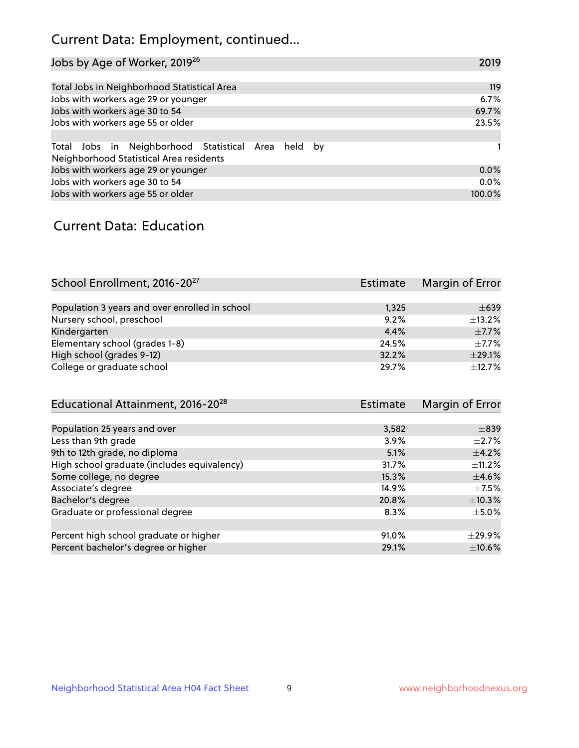# Current Data: Employment, continued...

| Jobs by Age of Worker, 2019 <sup>26</sup>                                                      | 2019   |
|------------------------------------------------------------------------------------------------|--------|
|                                                                                                |        |
| Total Jobs in Neighborhood Statistical Area                                                    | 119    |
| Jobs with workers age 29 or younger                                                            | 6.7%   |
| Jobs with workers age 30 to 54                                                                 | 69.7%  |
| Jobs with workers age 55 or older                                                              | 23.5%  |
|                                                                                                |        |
| Total Jobs in Neighborhood Statistical Area held by<br>Neighborhood Statistical Area residents |        |
| Jobs with workers age 29 or younger                                                            | 0.0%   |
| Jobs with workers age 30 to 54                                                                 | 0.0%   |
| Jobs with workers age 55 or older                                                              | 100.0% |

### Current Data: Education

| School Enrollment, 2016-20 <sup>27</sup>       | <b>Estimate</b> | Margin of Error |
|------------------------------------------------|-----------------|-----------------|
|                                                |                 |                 |
| Population 3 years and over enrolled in school | 1,325           | $\pm 639$       |
| Nursery school, preschool                      | 9.2%            | $\pm$ 13.2%     |
| Kindergarten                                   | 4.4%            | $\pm$ 7.7%      |
| Elementary school (grades 1-8)                 | 24.5%           | $\pm$ 7.7%      |
| High school (grades 9-12)                      | 32.2%           | $\pm$ 29.1%     |
| College or graduate school                     | 29.7%           | ±12.7%          |

| Educational Attainment, 2016-20 <sup>28</sup> | <b>Estimate</b> | Margin of Error |
|-----------------------------------------------|-----------------|-----------------|
|                                               |                 |                 |
| Population 25 years and over                  | 3,582           | $\pm$ 839       |
| Less than 9th grade                           | 3.9%            | $\pm 2.7\%$     |
| 9th to 12th grade, no diploma                 | 5.1%            | $\pm$ 4.2%      |
| High school graduate (includes equivalency)   | 31.7%           | $\pm$ 11.2%     |
| Some college, no degree                       | 15.3%           | $\pm$ 4.6%      |
| Associate's degree                            | 14.9%           | $\pm$ 7.5%      |
| Bachelor's degree                             | 20.8%           | ±10.3%          |
| Graduate or professional degree               | 8.3%            | $\pm$ 5.0%      |
|                                               |                 |                 |
| Percent high school graduate or higher        | 91.0%           | $\pm$ 29.9%     |
| Percent bachelor's degree or higher           | 29.1%           | $\pm$ 10.6%     |
|                                               |                 |                 |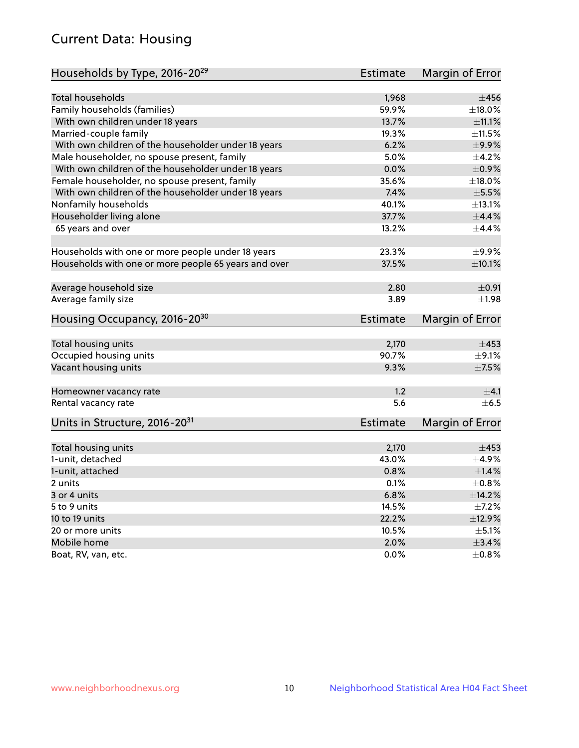# Current Data: Housing

| Households by Type, 2016-20 <sup>29</sup>            | <b>Estimate</b> | Margin of Error |
|------------------------------------------------------|-----------------|-----------------|
|                                                      |                 |                 |
| Total households                                     | 1,968           | $\pm$ 456       |
| Family households (families)                         | 59.9%           | ±18.0%          |
| With own children under 18 years                     | 13.7%           | $\pm$ 11.1%     |
| Married-couple family                                | 19.3%           | $\pm$ 11.5%     |
| With own children of the householder under 18 years  | 6.2%            | $\pm$ 9.9%      |
| Male householder, no spouse present, family          | 5.0%            | $\pm$ 4.2%      |
| With own children of the householder under 18 years  | 0.0%            | $\pm$ 0.9%      |
| Female householder, no spouse present, family        | 35.6%           | $\pm$ 18.0%     |
| With own children of the householder under 18 years  | 7.4%            | $\pm$ 5.5%      |
| Nonfamily households                                 | 40.1%           | ±13.1%          |
| Householder living alone                             | 37.7%           | $\pm$ 4.4%      |
| 65 years and over                                    | 13.2%           | $\pm$ 4.4%      |
|                                                      |                 |                 |
| Households with one or more people under 18 years    | 23.3%           | $\pm$ 9.9%      |
| Households with one or more people 65 years and over | 37.5%           | $\pm$ 10.1%     |
|                                                      |                 |                 |
| Average household size                               | 2.80            | $\pm 0.91$      |
| Average family size                                  | 3.89            | ±1.98           |
| Housing Occupancy, 2016-20 <sup>30</sup>             | <b>Estimate</b> | Margin of Error |
|                                                      |                 |                 |
| Total housing units                                  | 2,170           | $\pm 453$       |
| Occupied housing units                               | 90.7%           | $\pm$ 9.1%      |
| Vacant housing units                                 | 9.3%            | $\pm$ 7.5%      |
| Homeowner vacancy rate                               | 1.2             | ±4.1            |
| Rental vacancy rate                                  | 5.6             | $+6.5$          |
| Units in Structure, 2016-20 <sup>31</sup>            | Estimate        | Margin of Error |
|                                                      |                 |                 |
| Total housing units                                  | 2,170           | $\pm 453$       |
| 1-unit, detached                                     | 43.0%           | $\pm$ 4.9%      |
| 1-unit, attached                                     | 0.8%            | $\pm 1.4\%$     |
| 2 units                                              | 0.1%            | $\pm 0.8\%$     |
|                                                      | 6.8%            | ±14.2%          |
| 3 or 4 units                                         |                 |                 |
| 5 to 9 units                                         | 14.5%           | $\pm$ 7.2%      |
| 10 to 19 units                                       | 22.2%           | ±12.9%          |
| 20 or more units                                     | 10.5%           | $\pm$ 5.1%      |
| Mobile home                                          | 2.0%            | $\pm$ 3.4%      |
| Boat, RV, van, etc.                                  | $0.0\%$         | $\pm$ 0.8%      |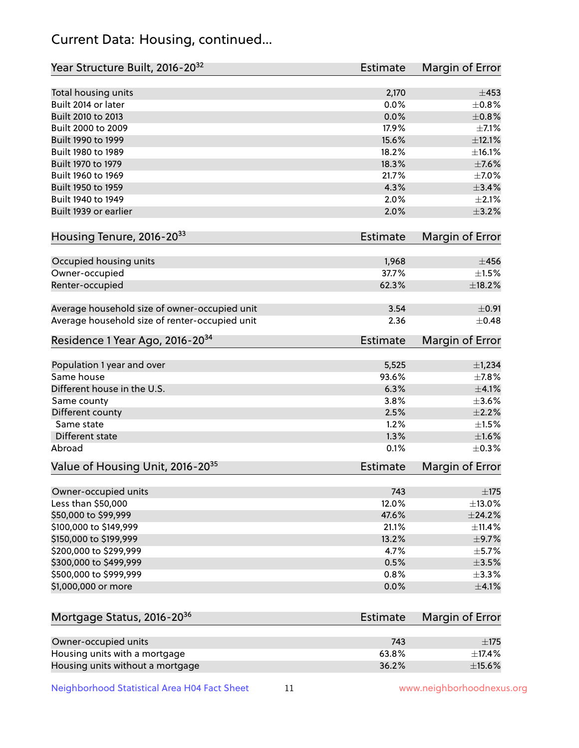# Current Data: Housing, continued...

| Year Structure Built, 2016-20 <sup>32</sup>    | <b>Estimate</b> | Margin of Error |
|------------------------------------------------|-----------------|-----------------|
| Total housing units                            | 2,170           | $\pm 453$       |
| Built 2014 or later                            | 0.0%            | $\pm$ 0.8%      |
| Built 2010 to 2013                             | 0.0%            | $\pm$ 0.8%      |
| Built 2000 to 2009                             | 17.9%           | $\pm$ 7.1%      |
| Built 1990 to 1999                             | 15.6%           | ±12.1%          |
| Built 1980 to 1989                             | 18.2%           | ±16.1%          |
| Built 1970 to 1979                             | 18.3%           | $\pm$ 7.6%      |
| Built 1960 to 1969                             | 21.7%           | $\pm$ 7.0%      |
| Built 1950 to 1959                             | 4.3%            | ±3.4%           |
| Built 1940 to 1949                             | 2.0%            | $\pm 2.1\%$     |
| Built 1939 or earlier                          | 2.0%            | $\pm$ 3.2%      |
| Housing Tenure, 2016-2033                      | Estimate        | Margin of Error |
|                                                |                 |                 |
| Occupied housing units                         | 1,968           | $\pm 456$       |
| Owner-occupied                                 | 37.7%           | $\pm 1.5\%$     |
| Renter-occupied                                | 62.3%           | ±18.2%          |
| Average household size of owner-occupied unit  | 3.54            | $\pm$ 0.91      |
| Average household size of renter-occupied unit | 2.36            | $\pm$ 0.48      |
| Residence 1 Year Ago, 2016-20 <sup>34</sup>    | <b>Estimate</b> | Margin of Error |
| Population 1 year and over                     | 5,525           | $\pm$ 1,234     |
| Same house                                     | 93.6%           | ±7.8%           |
| Different house in the U.S.                    | 6.3%            | $\pm 4.1\%$     |
| Same county                                    | 3.8%            | $\pm 3.6\%$     |
| Different county                               | 2.5%            | $\pm 2.2\%$     |
| Same state                                     | 1.2%            | $\pm1.5\%$      |
| Different state                                | 1.3%            | $\pm1.6\%$      |
| Abroad                                         | 0.1%            | $\pm$ 0.3%      |
|                                                | <b>Estimate</b> |                 |
| Value of Housing Unit, 2016-20 <sup>35</sup>   |                 | Margin of Error |
| Owner-occupied units                           | 743             | $\pm$ 175       |
| Less than \$50,000                             | 12.0%           | $\pm$ 13.0%     |
| \$50,000 to \$99,999                           | 47.6%           | ±24.2%          |
| \$100,000 to \$149,999                         | 21.1%           | $\pm$ 11.4%     |
| \$150,000 to \$199,999                         | 13.2%           | $\pm$ 9.7%      |
| \$200,000 to \$299,999                         | 4.7%            | $\pm$ 5.7%      |
| \$300,000 to \$499,999                         | 0.5%            | $\pm$ 3.5%      |
| \$500,000 to \$999,999                         | 0.8%            | $\pm$ 3.3%      |
| \$1,000,000 or more                            | 0.0%            | $\pm$ 4.1%      |
|                                                | <b>Estimate</b> |                 |
| Mortgage Status, 2016-20 <sup>36</sup>         |                 | Margin of Error |
| Owner-occupied units                           | 743             | $\pm$ 175       |
| Housing units with a mortgage                  | 63.8%           | $\pm$ 17.4%     |
| Housing units without a mortgage               | 36.2%           | $\pm$ 15.6%     |

Neighborhood Statistical Area H04 Fact Sheet 11 11 www.neighborhoodnexus.org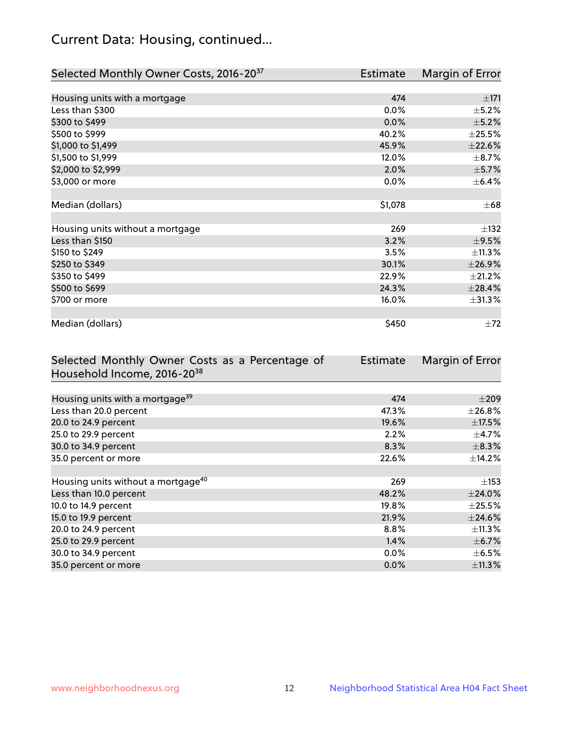# Current Data: Housing, continued...

| Selected Monthly Owner Costs, 2016-20 <sup>37</sup> | <b>Estimate</b> | Margin of Error |
|-----------------------------------------------------|-----------------|-----------------|
|                                                     |                 |                 |
| Housing units with a mortgage                       | 474             | $\pm 171$       |
| Less than \$300                                     | 0.0%            | $\pm$ 5.2%      |
| \$300 to \$499                                      | 0.0%            | $\pm$ 5.2%      |
| \$500 to \$999                                      | 40.2%           | $\pm 25.5\%$    |
| \$1,000 to \$1,499                                  | 45.9%           | $\pm 22.6\%$    |
| \$1,500 to \$1,999                                  | 12.0%           | $\pm$ 8.7%      |
| \$2,000 to \$2,999                                  | 2.0%            | $\pm$ 5.7%      |
| \$3,000 or more                                     | 0.0%            | $\pm$ 6.4%      |
|                                                     |                 |                 |
| Median (dollars)                                    | \$1,078         | $\pm 68$        |
|                                                     |                 |                 |
| Housing units without a mortgage                    | 269             | $\pm$ 132       |
| Less than \$150                                     | 3.2%            | $\pm$ 9.5%      |
| \$150 to \$249                                      | 3.5%            | ±11.3%          |
| \$250 to \$349                                      | 30.1%           | ±26.9%          |
| \$350 to \$499                                      | 22.9%           | $\pm 21.2\%$    |
| \$500 to \$699                                      | 24.3%           | ±28.4%          |
| \$700 or more                                       | 16.0%           | $\pm 31.3\%$    |
|                                                     |                 |                 |
| Median (dollars)                                    | \$450           | $\pm 72$        |

| Selected Monthly Owner Costs as a Percentage of | <b>Estimate</b> | Margin of Error |
|-------------------------------------------------|-----------------|-----------------|
| Household Income, 2016-20 <sup>38</sup>         |                 |                 |
|                                                 |                 |                 |
| Housing units with a mortgage <sup>39</sup>     | 474             | $\pm 209$       |
| Less than 20.0 percent                          | 47.3%           | $\pm 26.8\%$    |
| 20.0 to 24.9 percent                            | 19.6%           | $\pm$ 17.5%     |
| 25.0 to 29.9 percent                            | 2.2%            | $\pm$ 4.7%      |
| 30.0 to 34.9 percent                            | 8.3%            | $\pm$ 8.3%      |
| 35.0 percent or more                            | 22.6%           | $\pm$ 14.2%     |
|                                                 |                 |                 |
| Housing units without a mortgage <sup>40</sup>  | 269             | $\pm$ 153       |
| Less than 10.0 percent                          | 48.2%           | $\pm$ 24.0%     |
| 10.0 to 14.9 percent                            | 19.8%           | $\pm 25.5\%$    |
| 15.0 to 19.9 percent                            | 21.9%           | ±24.6%          |
| 20.0 to 24.9 percent                            | $8.8\%$         | $\pm$ 11.3%     |
| 25.0 to 29.9 percent                            | 1.4%            | $\pm$ 6.7%      |
| 30.0 to 34.9 percent                            | $0.0\%$         | $\pm$ 6.5%      |
| 35.0 percent or more                            | 0.0%            | ±11.3%          |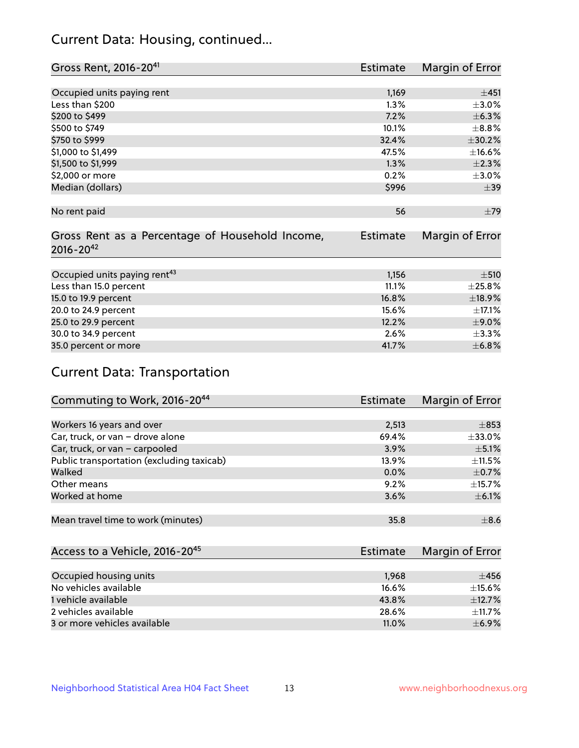# Current Data: Housing, continued...

| Gross Rent, 2016-20 <sup>41</sup>               | <b>Estimate</b> | Margin of Error |
|-------------------------------------------------|-----------------|-----------------|
|                                                 |                 |                 |
| Occupied units paying rent                      | 1,169           | ±451            |
| Less than \$200                                 | 1.3%            | $\pm$ 3.0%      |
| \$200 to \$499                                  | 7.2%            | ±6.3%           |
| \$500 to \$749                                  | 10.1%           | $\pm$ 8.8%      |
| \$750 to \$999                                  | 32.4%           | ±30.2%          |
| \$1,000 to \$1,499                              | 47.5%           | ±16.6%          |
| \$1,500 to \$1,999                              | 1.3%            | $\pm 2.3\%$     |
| \$2,000 or more                                 | 0.2%            | $\pm 3.0\%$     |
| Median (dollars)                                | \$996           | $\pm$ 39        |
|                                                 |                 |                 |
| No rent paid                                    | 56              | ±79             |
|                                                 |                 |                 |
| Gross Rent as a Percentage of Household Income, | <b>Estimate</b> | Margin of Error |
| $2016 - 20^{42}$                                |                 |                 |
|                                                 |                 |                 |
| Occupied units paying rent <sup>43</sup>        | 1,156           | $+510$          |
| Less than 15.0 percent                          | 11.1%           | ±25.8%          |
| 15.0 to 19.9 percent                            | 16.8%           | ±18.9%          |
| 20.0 to 24.9 percent                            | 15.6%           | $\pm$ 17.1%     |
| 25.0 to 29.9 percent                            | 12.2%           | $\pm$ 9.0%      |
| 30.0 to 34.9 percent                            | 2.6%            | ±3.3%           |
| 35.0 percent or more                            | 41.7%           | $\pm$ 6.8%      |

# Current Data: Transportation

| Commuting to Work, 2016-20 <sup>44</sup>  | <b>Estimate</b> | Margin of Error |
|-------------------------------------------|-----------------|-----------------|
|                                           |                 |                 |
| Workers 16 years and over                 | 2,513           | $\pm$ 853       |
| Car, truck, or van - drove alone          | 69.4%           | $\pm$ 33.0%     |
| Car, truck, or van - carpooled            | 3.9%            | $\pm$ 5.1%      |
| Public transportation (excluding taxicab) | 13.9%           | $\pm$ 11.5%     |
| Walked                                    | 0.0%            | $\pm$ 0.7%      |
| Other means                               | 9.2%            | $\pm$ 15.7%     |
| Worked at home                            | 3.6%            | $\pm$ 6.1%      |
|                                           |                 |                 |
| Mean travel time to work (minutes)        | 35.8            | $\pm$ 8.6       |

| Access to a Vehicle, 2016-20 <sup>45</sup> | <b>Estimate</b> | Margin of Error |
|--------------------------------------------|-----------------|-----------------|
|                                            |                 |                 |
| Occupied housing units                     | 1,968           | $+456$          |
| No vehicles available                      | 16.6%           | $\pm$ 15.6%     |
| 1 vehicle available                        | 43.8%           | $\pm$ 12.7%     |
| 2 vehicles available                       | 28.6%           | $+11.7%$        |
| 3 or more vehicles available               | 11.0%           | $+6.9%$         |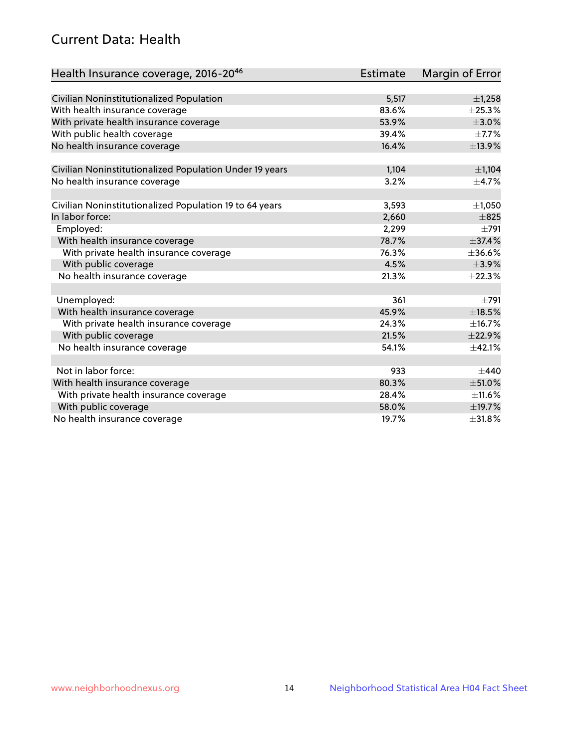# Current Data: Health

| Health Insurance coverage, 2016-2046                    | <b>Estimate</b> | <b>Margin of Error</b> |
|---------------------------------------------------------|-----------------|------------------------|
|                                                         |                 |                        |
| Civilian Noninstitutionalized Population                | 5,517           | ±1,258                 |
| With health insurance coverage                          | 83.6%           | $\pm$ 25.3%            |
| With private health insurance coverage                  | 53.9%           | $\pm 3.0\%$            |
| With public health coverage                             | 39.4%           | $\pm$ 7.7%             |
| No health insurance coverage                            | 16.4%           | ±13.9%                 |
| Civilian Noninstitutionalized Population Under 19 years | 1,104           | ±1,104                 |
| No health insurance coverage                            | 3.2%            | $\pm$ 4.7%             |
|                                                         |                 |                        |
| Civilian Noninstitutionalized Population 19 to 64 years | 3,593           | $\pm$ 1,050            |
| In labor force:                                         | 2,660           | $\pm 825$              |
| Employed:                                               | 2,299           | $\pm 791$              |
| With health insurance coverage                          | 78.7%           | ±37.4%                 |
| With private health insurance coverage                  | 76.3%           | ±36.6%                 |
| With public coverage                                    | 4.5%            | ±3.9%                  |
| No health insurance coverage                            | 21.3%           | ±22.3%                 |
|                                                         |                 |                        |
| Unemployed:                                             | 361             | $\pm 791$              |
| With health insurance coverage                          | 45.9%           | $\pm$ 18.5%            |
| With private health insurance coverage                  | 24.3%           | ±16.7%                 |
| With public coverage                                    | 21.5%           | ±22.9%                 |
| No health insurance coverage                            | 54.1%           | ±42.1%                 |
|                                                         |                 |                        |
| Not in labor force:                                     | 933             | $+440$                 |
| With health insurance coverage                          | 80.3%           | $\pm$ 51.0%            |
| With private health insurance coverage                  | 28.4%           | $\pm$ 11.6%            |
| With public coverage                                    | 58.0%           | ±19.7%                 |
| No health insurance coverage                            | 19.7%           | ±31.8%                 |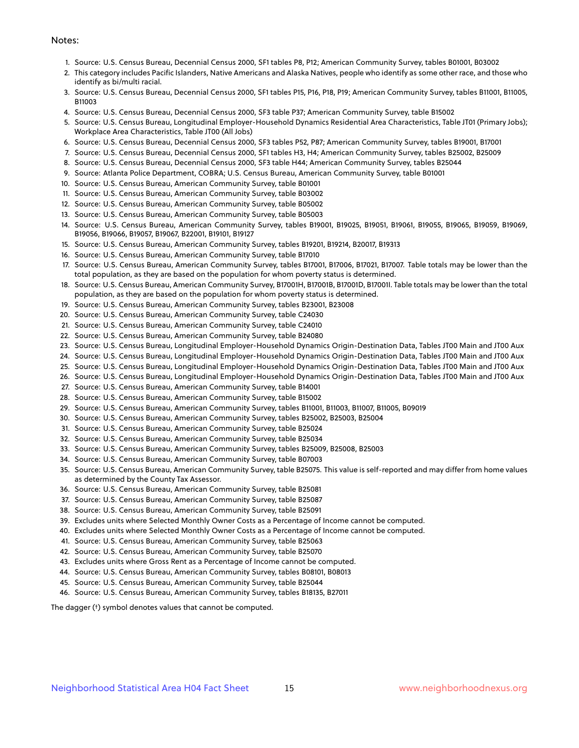#### Notes:

- 1. Source: U.S. Census Bureau, Decennial Census 2000, SF1 tables P8, P12; American Community Survey, tables B01001, B03002
- 2. This category includes Pacific Islanders, Native Americans and Alaska Natives, people who identify as some other race, and those who identify as bi/multi racial.
- 3. Source: U.S. Census Bureau, Decennial Census 2000, SF1 tables P15, P16, P18, P19; American Community Survey, tables B11001, B11005, B11003
- 4. Source: U.S. Census Bureau, Decennial Census 2000, SF3 table P37; American Community Survey, table B15002
- 5. Source: U.S. Census Bureau, Longitudinal Employer-Household Dynamics Residential Area Characteristics, Table JT01 (Primary Jobs); Workplace Area Characteristics, Table JT00 (All Jobs)
- 6. Source: U.S. Census Bureau, Decennial Census 2000, SF3 tables P52, P87; American Community Survey, tables B19001, B17001
- 7. Source: U.S. Census Bureau, Decennial Census 2000, SF1 tables H3, H4; American Community Survey, tables B25002, B25009
- 8. Source: U.S. Census Bureau, Decennial Census 2000, SF3 table H44; American Community Survey, tables B25044
- 9. Source: Atlanta Police Department, COBRA; U.S. Census Bureau, American Community Survey, table B01001
- 10. Source: U.S. Census Bureau, American Community Survey, table B01001
- 11. Source: U.S. Census Bureau, American Community Survey, table B03002
- 12. Source: U.S. Census Bureau, American Community Survey, table B05002
- 13. Source: U.S. Census Bureau, American Community Survey, table B05003
- 14. Source: U.S. Census Bureau, American Community Survey, tables B19001, B19025, B19051, B19061, B19055, B19065, B19059, B19069, B19056, B19066, B19057, B19067, B22001, B19101, B19127
- 15. Source: U.S. Census Bureau, American Community Survey, tables B19201, B19214, B20017, B19313
- 16. Source: U.S. Census Bureau, American Community Survey, table B17010
- 17. Source: U.S. Census Bureau, American Community Survey, tables B17001, B17006, B17021, B17007. Table totals may be lower than the total population, as they are based on the population for whom poverty status is determined.
- 18. Source: U.S. Census Bureau, American Community Survey, B17001H, B17001B, B17001D, B17001I. Table totals may be lower than the total population, as they are based on the population for whom poverty status is determined.
- 19. Source: U.S. Census Bureau, American Community Survey, tables B23001, B23008
- 20. Source: U.S. Census Bureau, American Community Survey, table C24030
- 21. Source: U.S. Census Bureau, American Community Survey, table C24010
- 22. Source: U.S. Census Bureau, American Community Survey, table B24080
- 23. Source: U.S. Census Bureau, Longitudinal Employer-Household Dynamics Origin-Destination Data, Tables JT00 Main and JT00 Aux
- 24. Source: U.S. Census Bureau, Longitudinal Employer-Household Dynamics Origin-Destination Data, Tables JT00 Main and JT00 Aux
- 25. Source: U.S. Census Bureau, Longitudinal Employer-Household Dynamics Origin-Destination Data, Tables JT00 Main and JT00 Aux
- 26. Source: U.S. Census Bureau, Longitudinal Employer-Household Dynamics Origin-Destination Data, Tables JT00 Main and JT00 Aux
- 27. Source: U.S. Census Bureau, American Community Survey, table B14001
- 28. Source: U.S. Census Bureau, American Community Survey, table B15002
- 29. Source: U.S. Census Bureau, American Community Survey, tables B11001, B11003, B11007, B11005, B09019
- 30. Source: U.S. Census Bureau, American Community Survey, tables B25002, B25003, B25004
- 31. Source: U.S. Census Bureau, American Community Survey, table B25024
- 32. Source: U.S. Census Bureau, American Community Survey, table B25034
- 33. Source: U.S. Census Bureau, American Community Survey, tables B25009, B25008, B25003
- 34. Source: U.S. Census Bureau, American Community Survey, table B07003
- 35. Source: U.S. Census Bureau, American Community Survey, table B25075. This value is self-reported and may differ from home values as determined by the County Tax Assessor.
- 36. Source: U.S. Census Bureau, American Community Survey, table B25081
- 37. Source: U.S. Census Bureau, American Community Survey, table B25087
- 38. Source: U.S. Census Bureau, American Community Survey, table B25091
- 39. Excludes units where Selected Monthly Owner Costs as a Percentage of Income cannot be computed.
- 40. Excludes units where Selected Monthly Owner Costs as a Percentage of Income cannot be computed.
- 41. Source: U.S. Census Bureau, American Community Survey, table B25063
- 42. Source: U.S. Census Bureau, American Community Survey, table B25070
- 43. Excludes units where Gross Rent as a Percentage of Income cannot be computed.
- 44. Source: U.S. Census Bureau, American Community Survey, tables B08101, B08013
- 45. Source: U.S. Census Bureau, American Community Survey, table B25044
- 46. Source: U.S. Census Bureau, American Community Survey, tables B18135, B27011

The dagger (†) symbol denotes values that cannot be computed.